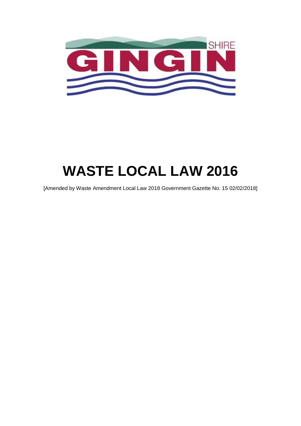

# **WASTE LOCAL LAW 2016**

[Amended by Waste Amendment Local Law 2018 Government Gazette No. 15 02/02/2018]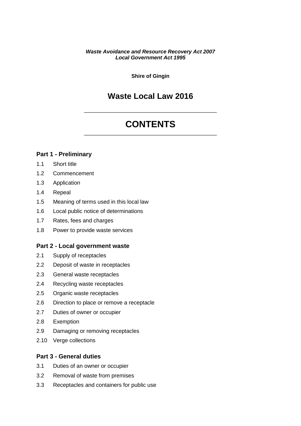#### *Waste Avoidance and Resource Recovery Act 2007 Local Government Act 1995*

**Shire of Gingin**

# **Waste Local Law 2016**

# **CONTENTS** \_\_\_\_\_\_\_\_\_\_\_\_\_\_\_\_\_\_\_\_\_\_\_\_\_\_\_\_\_\_\_\_\_\_\_\_\_\_\_\_\_\_\_\_\_

\_\_\_\_\_\_\_\_\_\_\_\_\_\_\_\_\_\_\_\_\_\_\_\_\_\_\_\_\_\_\_\_\_\_\_\_\_\_\_\_\_\_\_\_\_

#### **[Part 1 - Preliminary](#page-3-0)**

- [1.1](#page-3-1) [Short title](#page-3-1)
- [1.2](#page-3-2) [Commencement](#page-3-2)
- [1.3](#page-3-3) [Application](#page-3-3)
- [1.4](#page-3-4) [Repeal](#page-3-4)
- [1.5](#page-3-5) [Meaning of terms used in this local law](#page-3-5)
- [1.6](#page-6-0) [Local public notice of determinations](#page-6-0)
- [1.7](#page-6-1) [Rates, fees and charges](#page-6-1)
- [1.8](#page-6-2) [Power to provide waste services](#page-6-2)

#### **[Part 2 - Local government waste](#page-6-3)**

- [2.1](#page-6-4) [Supply of receptacles](#page-6-4)
- [2.2](#page-7-0) [Deposit of waste in receptacles](#page-7-0)
- [2.3](#page-7-1) [General waste receptacles](#page-7-1)
- [2.4](#page-7-2) [Recycling waste receptacles](#page-7-2)
- [2.5](#page-8-0) [Organic waste receptacles](#page-8-0)
- [2.6](#page-8-1) [Direction to place or remove a receptacle](#page-8-1)
- [2.7](#page-8-2) [Duties of owner or occupier](#page-8-2)
- [2.8](#page-9-0) [Exemption](#page-9-0)
- [2.9](#page-9-1) [Damaging or removing receptacles](#page-9-1)
- [2.10](#page-9-2) [Verge collections](#page-9-2)

#### **[Part 3 - General duties](#page-10-0)**

- [3.1](#page-10-1) [Duties of an owner or occupier](#page-10-1)
- [3.2](#page-10-2) [Removal of waste from premises](#page-10-2)
- [3.3](#page-11-0) [Receptacles and containers for public use](#page-11-0)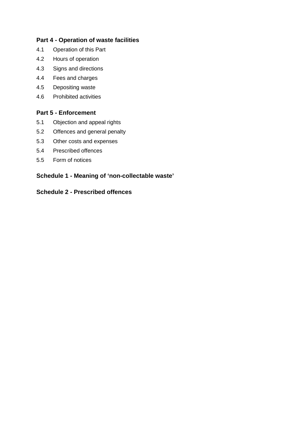# **[Part 4 - Operation of waste facilities](#page-11-1)**

- [4.1](#page-11-2) [Operation of this Part](#page-11-2)
- [4.2](#page-11-3) [Hours of operation](#page-11-3)
- [4.3](#page-11-4) [Signs and directions](#page-11-4)
- [4.4](#page-11-5) [Fees and charges](#page-11-5)
- [4.5](#page-12-0) [Depositing waste](#page-12-0)
- [4.6](#page-12-1) [Prohibited activities](#page-12-1)

# **[Part 5 - Enforcement](#page-12-2)**

- [5.1](#page-12-3) [Objection and appeal rights](#page-12-3)
- [5.2](#page-13-0) [Offences and general penalty](#page-13-0)
- [5.3](#page-13-1) [Other costs and expenses](#page-13-1)
- [5.4](#page-13-2) [Prescribed offences](#page-13-2)
- [5.5](#page-13-3) [Form of notices](#page-13-3)

# **[Schedule 1 - Meaning of 'non-collectable waste'](#page-15-0)**

# **[Schedule 2 - Prescribed offences](#page-16-0)**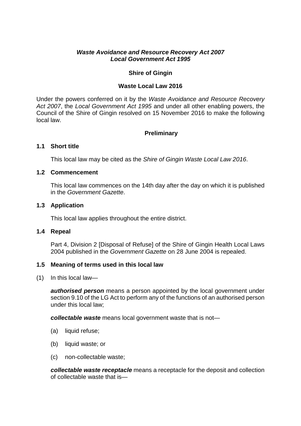#### *Waste Avoidance and Resource Recovery Act 2007 Local Government Act 1995*

# **Shire of Gingin**

#### **Waste Local Law 2016**

Under the powers conferred on it by the *Waste Avoidance and Resource Recovery Act 2007*, the *Local Government Act 1995* and under all other enabling powers, the Council of the Shire of Gingin resolved on 15 November 2016 to make the following local law.

# <span id="page-3-0"></span>**Preliminary**

# <span id="page-3-1"></span>**1.1 Short title**

<span id="page-3-2"></span>This local law may be cited as the *Shire of Gingin Waste Local Law 2016*.

# **1.2 Commencement**

This local law commences on the 14th day after the day on which it is published in the *Government Gazette*.

#### <span id="page-3-3"></span>**1.3 Application**

<span id="page-3-4"></span>This local law applies throughout the entire district.

#### **1.4 Repeal**

Part 4, Division 2 [Disposal of Refuse] of the Shire of Gingin Health Local Laws 2004 published in the *Government Gazette* on 28 June 2004 is repealed.

# <span id="page-3-5"></span>**1.5 Meaning of terms used in this local law**

(1) In this local law—

*authorised person* means a person appointed by the local government under section 9.10 of the LG Act to perform any of the functions of an authorised person under this local law;

*collectable waste* means local government waste that is not—

- (a) liquid refuse;
- (b) liquid waste; or
- (c) non-collectable waste;

*collectable waste receptacle* means a receptacle for the deposit and collection of collectable waste that is—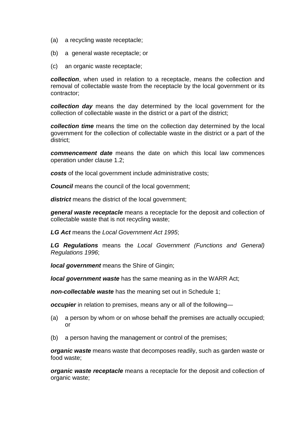- (a) a recycling waste receptacle;
- (b) a general waste receptacle; or
- (c) an organic waste receptacle;

*collection*, when used in relation to a receptacle, means the collection and removal of collectable waste from the receptacle by the local government or its contractor;

*collection day* means the day determined by the local government for the collection of collectable waste in the district or a part of the district;

*collection time* means the time on the collection day determined by the local government for the collection of collectable waste in the district or a part of the district;

*commencement date* means the date on which this local law commences operation under clause [1.2](#page-3-2);

*costs* of the local government include administrative costs;

**Council** means the council of the local government;

*district* means the district of the local government;

*general waste receptacle* means a receptacle for the deposit and collection of collectable waste that is not recycling waste;

*LG Act* means the *Local Government Act 1995*;

*LG Regulations* means the *Local Government (Functions and General) Regulations 1996*;

*local government* means the Shire of Gingin:

*local government waste* has the same meaning as in the WARR Act;

*non-collectable waste* has the meaning set out in Schedule 1;

*occupier* in relation to premises, means any or all of the following—

- (a) a person by whom or on whose behalf the premises are actually occupied; or
- (b) a person having the management or control of the premises;

*organic waste* means waste that decomposes readily, such as garden waste or food waste;

*organic waste receptacle* means a receptacle for the deposit and collection of organic waste;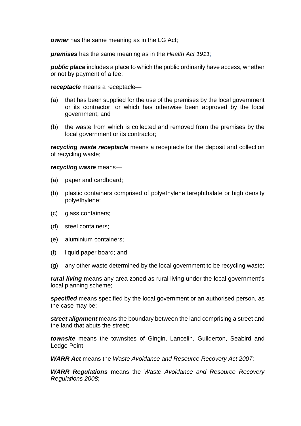*owner* has the same meaning as in the LG Act;

*premises* has the same meaning as in the *Health Act 1911*;

*public place* includes a place to which the public ordinarily have access, whether or not by payment of a fee;

#### *receptacle* means a receptacle—

- (a) that has been supplied for the use of the premises by the local government or its contractor, or which has otherwise been approved by the local government; and
- (b) the waste from which is collected and removed from the premises by the local government or its contractor;

*recycling waste receptacle* means a receptacle for the deposit and collection of recycling waste;

#### *recycling waste* means—

- (a) paper and cardboard;
- (b) plastic containers comprised of polyethylene terephthalate or high density polyethylene;
- (c) glass containers;
- (d) steel containers;
- (e) aluminium containers;
- (f) liquid paper board; and
- (g) any other waste determined by the local government to be recycling waste;

*rural living* means any area zoned as rural living under the local government's local planning scheme;

*specified* means specified by the local government or an authorised person, as the case may be;

*street alignment* means the boundary between the land comprising a street and the land that abuts the street;

*townsite* means the townsites of Gingin, Lancelin, Guilderton, Seabird and Ledge Point;

*WARR Act* means the *Waste Avoidance and Resource Recovery Act 2007*;

*WARR Regulations* means the *Waste Avoidance and Resource Recovery Regulations 2008*;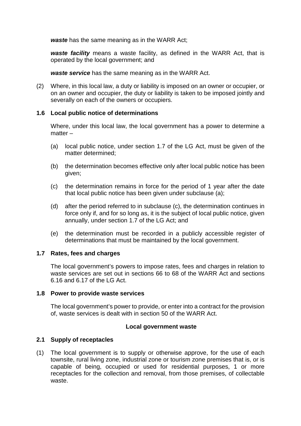*waste* has the same meaning as in the WARR Act;

*waste facility* means a waste facility, as defined in the WARR Act, that is operated by the local government; and

*waste service* has the same meaning as in the WARR Act.

(2) Where, in this local law, a duty or liability is imposed on an owner or occupier, or on an owner and occupier, the duty or liability is taken to be imposed jointly and severally on each of the owners or occupiers.

# <span id="page-6-0"></span>**1.6 Local public notice of determinations**

Where, under this local law, the local government has a power to determine a matter –

- (a) local public notice, under section 1.7 of the LG Act, must be given of the matter determined;
- (b) the determination becomes effective only after local public notice has been given;
- (c) the determination remains in force for the period of 1 year after the date that local public notice has been given under subclause (a);
- (d) after the period referred to in subclause (c), the determination continues in force only if, and for so long as, it is the subject of local public notice, given annually, under section 1.7 of the LG Act; and
- (e) the determination must be recorded in a publicly accessible register of determinations that must be maintained by the local government.

# <span id="page-6-1"></span>**1.7 Rates, fees and charges**

The local government's powers to impose rates, fees and charges in relation to waste services are set out in sections 66 to 68 of the WARR Act and sections 6.16 and 6.17 of the LG Act.

# <span id="page-6-2"></span>**1.8 Power to provide waste services**

The local government's power to provide, or enter into a contract for the provision of, waste services is dealt with in section 50 of the WARR Act.

# <span id="page-6-3"></span>**Local government waste**

# <span id="page-6-4"></span>**2.1 Supply of receptacles**

(1) The local government is to supply or otherwise approve, for the use of each townsite, rural living zone, industrial zone or tourism zone premises that is, or is capable of being, occupied or used for residential purposes, 1 or more receptacles for the collection and removal, from those premises, of collectable waste.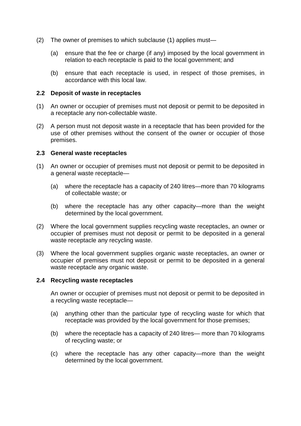- <span id="page-7-3"></span>(2) The owner of premises to which subclause (1) applies must—
	- (a) ensure that the fee or charge (if any) imposed by the local government in relation to each receptacle is paid to the local government; and
	- (b) ensure that each receptacle is used, in respect of those premises, in accordance with this local law.

#### <span id="page-7-4"></span><span id="page-7-0"></span>**2.2 Deposit of waste in receptacles**

- <span id="page-7-5"></span>(1) An owner or occupier of premises must not deposit or permit to be deposited in a receptacle any non-collectable waste.
- <span id="page-7-6"></span>(2) A person must not deposit waste in a receptacle that has been provided for the use of other premises without the consent of the owner or occupier of those premises.

#### <span id="page-7-1"></span>**2.3 General waste receptacles**

- <span id="page-7-7"></span>(1) An owner or occupier of premises must not deposit or permit to be deposited in a general waste receptacle—
	- (a) where the receptacle has a capacity of 240 litres—more than 70 kilograms of collectable waste; or
	- (b) where the receptacle has any other capacity—more than the weight determined by the local government.
- <span id="page-7-8"></span>(2) Where the local government supplies recycling waste receptacles, an owner or occupier of premises must not deposit or permit to be deposited in a general waste receptacle any recycling waste.
- (3) Where the local government supplies organic waste receptacles, an owner or occupier of premises must not deposit or permit to be deposited in a general waste receptacle any organic waste.

#### <span id="page-7-2"></span>**2.4 Recycling waste receptacles**

An owner or occupier of premises must not deposit or permit to be deposited in a recycling waste receptacle—

- <span id="page-7-9"></span>(a) anything other than the particular type of recycling waste for which that receptacle was provided by the local government for those premises;
- <span id="page-7-10"></span>(b) where the receptacle has a capacity of 240 litres— more than 70 kilograms of recycling waste; or
- (c) where the receptacle has any other capacity—more than the weight determined by the local government.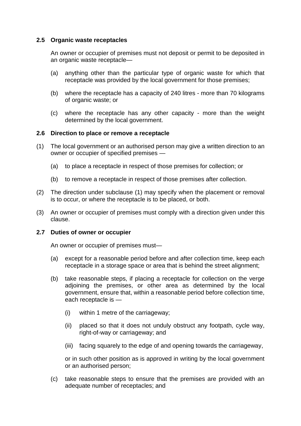# <span id="page-8-0"></span>**2.5 Organic waste receptacles**

An owner or occupier of premises must not deposit or permit to be deposited in an organic waste receptacle—

- <span id="page-8-3"></span>(a) anything other than the particular type of organic waste for which that receptacle was provided by the local government for those premises;
- <span id="page-8-4"></span>(b) where the receptacle has a capacity of 240 litres - more than 70 kilograms of organic waste; or
- (c) where the receptacle has any other capacity more than the weight determined by the local government.

# <span id="page-8-1"></span>**2.6 Direction to place or remove a receptacle**

- (1) The local government or an authorised person may give a written direction to an owner or occupier of specified premises —
	- (a) to place a receptacle in respect of those premises for collection; or
	- (b) to remove a receptacle in respect of those premises after collection.
- (2) The direction under subclause (1) may specify when the placement or removal is to occur, or where the receptacle is to be placed, or both.
- <span id="page-8-5"></span>(3) An owner or occupier of premises must comply with a direction given under this clause.

# <span id="page-8-2"></span>**2.7 Duties of owner or occupier**

An owner or occupier of premises must—

- <span id="page-8-6"></span>(a) except for a reasonable period before and after collection time, keep each receptacle in a storage space or area that is behind the street alignment;
- <span id="page-8-7"></span>(b) take reasonable steps, if placing a receptacle for collection on the verge adjoining the premises, or other area as determined by the local government, ensure that, within a reasonable period before collection time, each receptacle is —
	- (i) within 1 metre of the carriageway;
	- (ii) placed so that it does not unduly obstruct any footpath, cycle way, right-of-way or carriageway; and
	- (iii) facing squarely to the edge of and opening towards the carriageway,

or in such other position as is approved in writing by the local government or an authorised person;

<span id="page-8-8"></span>(c) take reasonable steps to ensure that the premises are provided with an adequate number of receptacles; and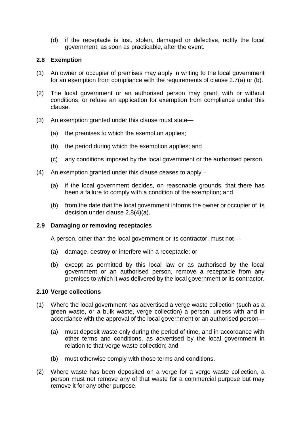<span id="page-9-3"></span>(d) if the receptacle is lost, stolen, damaged or defective, notify the local government, as soon as practicable, after the event.

#### <span id="page-9-0"></span>**2.8 Exemption**

- (1) An owner or occupier of premises may apply in writing to the local government for an exemption from compliance with the requirements of clause 2.7(a) or (b).
- (2) The local government or an authorised person may grant, with or without conditions, or refuse an application for exemption from compliance under this clause.
- (3) An exemption granted under this clause must state—
	- (a) the premises to which the exemption applies;
	- (b) the period during which the exemption applies; and
	- (c) any conditions imposed by the local government or the authorised person.
- (4) An exemption granted under this clause ceases to apply
	- (a) if the local government decides, on reasonable grounds, that there has been a failure to comply with a condition of the exemption; and
	- (b) from the date that the local government informs the owner or occupier of its decision under clause 2.8(4)(a).

#### <span id="page-9-1"></span>**2.9 Damaging or removing receptacles**

A person, other than the local government or its contractor, must not—

- <span id="page-9-4"></span>(a) damage, destroy or interfere with a receptacle; or
- <span id="page-9-5"></span>(b) except as permitted by this local law or as authorised by the local government or an authorised person, remove a receptacle from any premises to which it was delivered by the local government or its contractor.

#### <span id="page-9-2"></span>**2.10 Verge collections**

- (1) Where the local government has advertised a verge waste collection (such as a green waste, or a bulk waste, verge collection) a person, unless with and in accordance with the approval of the local government or an authorised person—
	- (a) must deposit waste only during the period of time, and in accordance with other terms and conditions, as advertised by the local government in relation to that verge waste collection; and
	- (b) must otherwise comply with those terms and conditions.
- <span id="page-9-6"></span>(2) Where waste has been deposited on a verge for a verge waste collection, a person must not remove any of that waste for a commercial purpose but may remove it for any other purpose.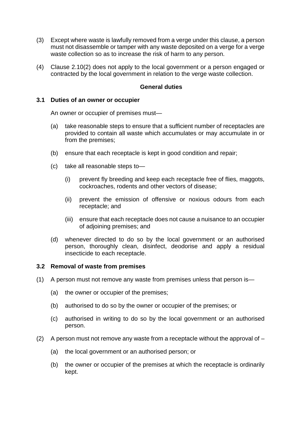- (3) Except where waste is lawfully removed from a verge under this clause, a person must not disassemble or tamper with any waste deposited on a verge for a verge waste collection so as to increase the risk of harm to any person.
- (4) Clause 2.10(2) does not apply to the local government or a person engaged or contracted by the local government in relation to the verge waste collection.

#### **General duties**

#### <span id="page-10-1"></span><span id="page-10-0"></span>**3.1 Duties of an owner or occupier**

An owner or occupier of premises must—

- <span id="page-10-3"></span>(a) take reasonable steps to ensure that a sufficient number of receptacles are provided to contain all waste which accumulates or may accumulate in or from the premises;
- <span id="page-10-4"></span>(b) ensure that each receptacle is kept in good condition and repair;
- <span id="page-10-6"></span><span id="page-10-5"></span>(c) take all reasonable steps to—
	- (i) prevent fly breeding and keep each receptacle free of flies, maggots, cockroaches, rodents and other vectors of disease;
	- (ii) prevent the emission of offensive or noxious odours from each receptacle; and
	- (iii) ensure that each receptacle does not cause a nuisance to an occupier of adjoining premises; and
- <span id="page-10-8"></span><span id="page-10-7"></span>(d) whenever directed to do so by the local government or an authorised person, thoroughly clean, disinfect, deodorise and apply a residual insecticide to each receptacle.

#### <span id="page-10-2"></span>**3.2 Removal of waste from premises**

- <span id="page-10-9"></span>(1) A person must not remove any waste from premises unless that person is—
	- (a) the owner or occupier of the premises;
	- (b) authorised to do so by the owner or occupier of the premises; or
	- (c) authorised in writing to do so by the local government or an authorised person.
- <span id="page-10-10"></span>(2) A person must not remove any waste from a receptacle without the approval of  $-$ 
	- (a) the local government or an authorised person; or
	- (b) the owner or occupier of the premises at which the receptacle is ordinarily kept.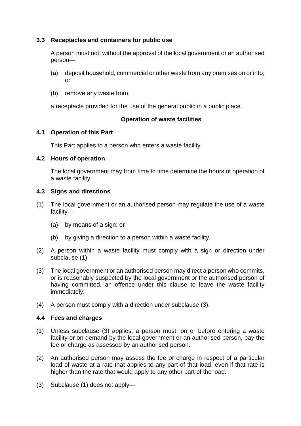# <span id="page-11-0"></span>**3.3 Receptacles and containers for public use**

A person must not, without the approval of the local government or an authorised person—

- (a) deposit household, commercial or other waste from any premises on or into; or
- (b) remove any waste from,

a receptacle provided for the use of the general public in a public place.

# <span id="page-11-1"></span>**Operation of waste facilities**

# <span id="page-11-2"></span>**4.1 Operation of this Part**

<span id="page-11-3"></span>This Part applies to a person who enters a waste facility.

# **4.2 Hours of operation**

The local government may from time to time determine the hours of operation of a waste facility.

# <span id="page-11-4"></span>**4.3 Signs and directions**

- (1) The local government or an authorised person may regulate the use of a waste facility—
	- (a) by means of a sign; or
	- (b) by giving a direction to a person within a waste facility.
- <span id="page-11-6"></span>(2) A person within a waste facility must comply with a sign or direction under subclause (1).
- (3) The local government or an authorised person may direct a person who commits, or is reasonably suspected by the local government or the authorised person of having committed, an offence under this clause to leave the waste facility immediately.
- <span id="page-11-7"></span>(4) A person must comply with a direction under subclause (3).

# <span id="page-11-5"></span>**4.4 Fees and charges**

- <span id="page-11-8"></span>(1) Unless subclause (3) applies, a person must, on or before entering a waste facility or on demand by the local government or an authorised person, pay the fee or charge as assessed by an authorised person.
- (2) An authorised person may assess the fee or charge in respect of a particular load of waste at a rate that applies to any part of that load, even if that rate is higher than the rate that would apply to any other part of the load.
- (3) Subclause (1) does not apply—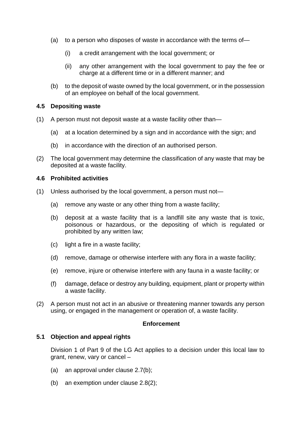- (a) to a person who disposes of waste in accordance with the terms of—
	- (i) a credit arrangement with the local government; or
	- (ii) any other arrangement with the local government to pay the fee or charge at a different time or in a different manner; and
- (b) to the deposit of waste owned by the local government, or in the possession of an employee on behalf of the local government.

#### <span id="page-12-0"></span>**4.5 Depositing waste**

- <span id="page-12-4"></span>(1) A person must not deposit waste at a waste facility other than—
	- (a) at a location determined by a sign and in accordance with the sign; and
	- (b) in accordance with the direction of an authorised person.
- (2) The local government may determine the classification of any waste that may be deposited at a waste facility.

#### <span id="page-12-1"></span>**4.6 Prohibited activities**

- <span id="page-12-7"></span><span id="page-12-6"></span><span id="page-12-5"></span>(1) Unless authorised by the local government, a person must not—
	- (a) remove any waste or any other thing from a waste facility;
	- (b) deposit at a waste facility that is a landfill site any waste that is toxic, poisonous or hazardous, or the depositing of which is regulated or prohibited by any written law;
	- (c) light a fire in a waste facility;
	- (d) remove, damage or otherwise interfere with any flora in a waste facility;
	- (e) remove, injure or otherwise interfere with any fauna in a waste facility; or
	- (f) damage, deface or destroy any building, equipment, plant or property within a waste facility.
- <span id="page-12-11"></span><span id="page-12-10"></span><span id="page-12-8"></span>(2) A person must not act in an abusive or threatening manner towards any person using, or engaged in the management or operation of, a waste facility.

# <span id="page-12-9"></span><span id="page-12-2"></span>**Enforcement**

#### <span id="page-12-3"></span>**5.1 Objection and appeal rights**

Division 1 of Part 9 of the LG Act applies to a decision under this local law to grant, renew, vary or cancel –

- (a) an approval under clause 2.7(b);
- (b) an exemption under clause 2.8(2);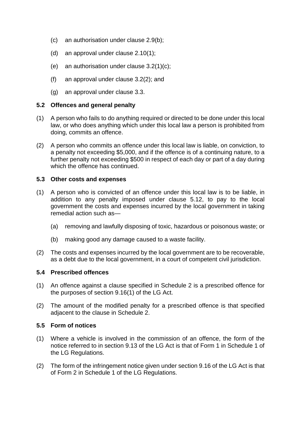- (c) an authorisation under clause 2.9(b);
- (d) an approval under clause 2.10(1);
- (e) an authorisation under clause  $3.2(1)(c)$ ;
- (f) an approval under clause 3.2(2); and
- <span id="page-13-0"></span>(g) an approval under clause 3.3.

# **5.2 Offences and general penalty**

- (1) A person who fails to do anything required or directed to be done under this local law, or who does anything which under this local law a person is prohibited from doing, commits an offence.
- (2) A person who commits an offence under this local law is liable, on conviction, to a penalty not exceeding \$5,000, and if the offence is of a continuing nature, to a further penalty not exceeding \$500 in respect of each day or part of a day during which the offence has continued.

# <span id="page-13-1"></span>**5.3 Other costs and expenses**

- (1) A person who is convicted of an offence underthi[s loc](#page-12-3)al law is to be liable, in addition to any penalty imposed under clause 5.12, to pay to the local government the costs and expenses incurred by the local government in taking remedial action such as—
	- (a) removing and lawfully disposing of toxic, hazardous or poisonous waste; or
	- (b) making good any damage caused to a waste facility.
- (2) The costs and expenses incurred by the local government are to be recoverable, as a debt due to the local government, in a court of competent civil jurisdiction.

# <span id="page-13-2"></span>**5.4 Prescribed offences**

- (1) An offence against a clause specified in Schedule 2 is a prescribed offence for the purposes of section 9.16(1) of the LG Act.
- (2) The amount of the modified penalty for a prescribed offence is that specified adjacent to the clause in Schedule 2.

# <span id="page-13-3"></span>**5.5 Form of notices**

- (1) Where a vehicle is involved in the commission of an offence, the form of the notice referred to in section 9.13 of the LG Act is that of Form 1 in Schedule 1 of the LG Regulations.
- (2) The form of the infringement notice given under section 9.16 of the LG Act is that of Form 2 in Schedule 1 of the LG Regulations.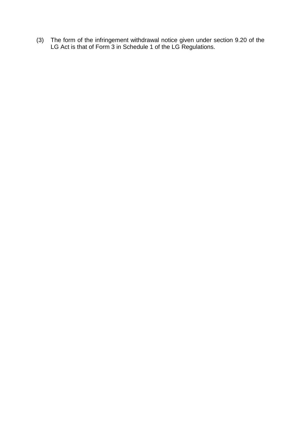(3) The form of the infringement withdrawal notice given under section 9.20 of the LG Act is that of Form 3 in Schedule 1 of the LG Regulations.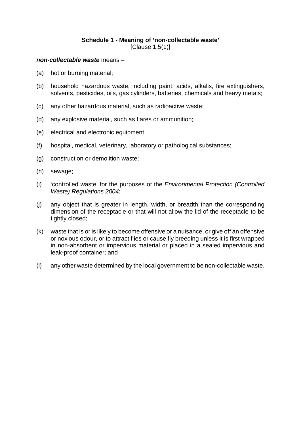# **Schedule 1 - Meaning of 'non-collectable waste'** [Clause 1.5(1)]

#### <span id="page-15-0"></span>*non-collectable waste* means –

- (a) hot or burning material;
- (b) household hazardous waste, including paint, acids, alkalis, fire extinguishers, solvents, pesticides, oils, gas cylinders, batteries, chemicals and heavy metals;
- (c) any other hazardous material, such as radioactive waste;
- (d) any explosive material, such as flares or ammunition;
- (e) electrical and electronic equipment;
- (f) hospital, medical, veterinary, laboratory or pathological substances;
- (g) construction or demolition waste;
- (h) sewage;
- (i) 'controlled waste' for the purposes of the *Environmental Protection (Controlled Waste) Regulations 2004*;
- (j) any object that is greater in length, width, or breadth than the corresponding dimension of the receptacle or that will not allow the lid of the receptacle to be tightly closed;
- (k) waste that is or is likely to become offensive or a nuisance, or give off an offensive or noxious odour, or to attract flies or cause fly breeding unless it is first wrapped in non-absorbent or impervious material or placed in a sealed impervious and leak-proof container; and
- (l) any other waste determined by the local government to be non-collectable waste.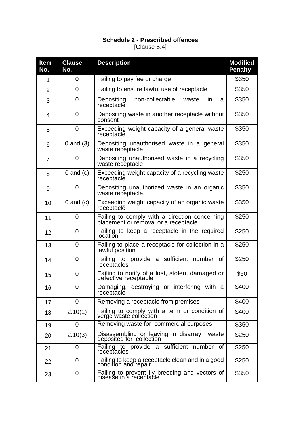# **Schedule 2 - Prescribed offences** [Clause 5.4]

<span id="page-16-0"></span>

| <b>Item</b><br>No. | <b>Clause</b><br>No. | <b>Description</b>                                                                    | <b>Modified</b><br><b>Penalty</b> |
|--------------------|----------------------|---------------------------------------------------------------------------------------|-----------------------------------|
| 1                  | 0                    | Failing to pay fee or charge                                                          | \$350                             |
| $\overline{2}$     | $\Omega$             | Failing to ensure lawful use of receptacle                                            | \$350                             |
| 3                  | $\overline{0}$       | non-collectable<br>Depositing<br>waste<br><i>in</i><br>a<br>receptacle                | \$350                             |
| 4                  | $\overline{0}$       | Depositing waste in another receptacle without<br>consent                             | \$350                             |
| 5                  | 0                    | Exceeding weight capacity of a general waste<br>receptacle                            | \$350                             |
| 6                  | $0$ and $(3)$        | Depositing unauthorised waste in a general<br>waste receptacle                        | \$350                             |
| 7                  | $\overline{0}$       | Depositing unauthorised waste in a recycling<br>waste receptacle                      | \$350                             |
| 8                  | $0$ and $(c)$        | Exceeding weight capacity of a recycling waste<br>receptacle                          | \$250                             |
| 9                  | $\overline{0}$       | Depositing unauthorized waste in an organic<br>waste receptacle                       | \$350                             |
| 10                 | $0$ and $(c)$        | Exceeding weight capacity of an organic waste<br>receptacle                           | \$350                             |
| 11                 | $\overline{0}$       | Failing to comply with a direction concerning<br>placement or removal or a receptacle | \$250                             |
| 12                 | 0                    | Failing to keep a receptacle in the required<br>location                              | \$250                             |
| 13                 | 0                    | Failing to place a receptacle for collection in a<br>lawful position                  | \$250                             |
| 14                 | $\overline{0}$       | Failing to provide a sufficient number of<br>receptacles                              | \$250                             |
| 15                 | 0                    | Failing to notify of a lost, stolen, damaged or<br>defective receptacle               | \$50                              |
| 16                 | 0                    | Damaging, destroying or interfering with a<br>receptacle                              | \$400                             |
| 17                 | 0                    | Removing a receptacle from premises                                                   | \$400                             |
| 18                 | 2.10(1)              | Failing to comply with a term or condition of<br>verge waste collection               | \$400                             |
| 19                 | 0                    | Removing waste for commercial purposes                                                | \$350                             |
| 20                 | 2.10(3)              | Disassembling or leaving in disarray<br>deposited for collection<br>waste             | \$250                             |
| 21                 | 0                    | Failing to provide a sufficient number of<br>receptacles                              | \$250                             |
| 22                 | $\Omega$             | Failing to keep a receptacle clean and in a good<br>condition and repair              | \$250                             |
| 23                 | 0                    | Failing to prevent fly breeding and vectors of disease in a receptacle                | \$350                             |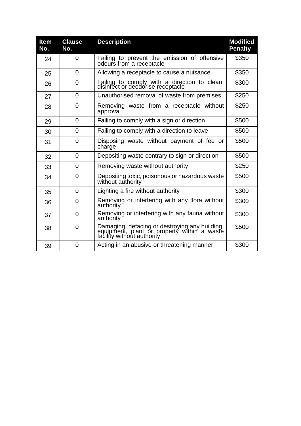| <b>Item</b><br>No. | <b>Clause</b><br>No. | <b>Description</b>                                                                                                          | <b>Modified</b><br><b>Penalty</b> |
|--------------------|----------------------|-----------------------------------------------------------------------------------------------------------------------------|-----------------------------------|
| 24                 | 0                    | Failing to prevent the emission of offensive<br>odours from a receptacle                                                    | \$350                             |
| 25                 | 0                    | Allowing a receptacle to cause a nuisance                                                                                   | \$350                             |
| 26                 | $\Omega$             | Failing to comply with a direction to clean, disinfect or deodorise receptacle                                              | \$300                             |
| 27                 | 0                    | Unauthorised removal of waste from premises                                                                                 | \$250                             |
| 28                 | $\Omega$             | Removing waste from a receptacle without<br>approval                                                                        | \$250                             |
| 29                 | $\overline{0}$       | Failing to comply with a sign or direction                                                                                  | \$500                             |
| 30                 | 0                    | Failing to comply with a direction to leave                                                                                 | \$500                             |
| 31                 | 0                    | Disposing waste without payment of fee or<br>charge                                                                         | \$500                             |
| 32                 | $\overline{0}$       | Depositing waste contrary to sign or direction                                                                              | \$500                             |
| 33                 | 0                    | Removing waste without authority                                                                                            | \$250                             |
| 34                 | $\Omega$             | Depositing toxic, poisonous or hazardous waste<br>without authority                                                         | \$500                             |
| 35                 | $\Omega$             | Lighting a fire without authority                                                                                           | \$300                             |
| 36                 | $\overline{0}$       | Removing or interfering with any flora without<br>authority                                                                 | \$300                             |
| 37                 | $\Omega$             | Removing or interfering with any fauna without<br>authority                                                                 | \$300                             |
| 38                 | $\overline{0}$       | Damaging, defacing or destroying any building,<br>equipment, plant or property within a waste<br>facility without authority | \$500                             |
| 39                 | 0                    | Acting in an abusive or threatening manner                                                                                  | \$300                             |